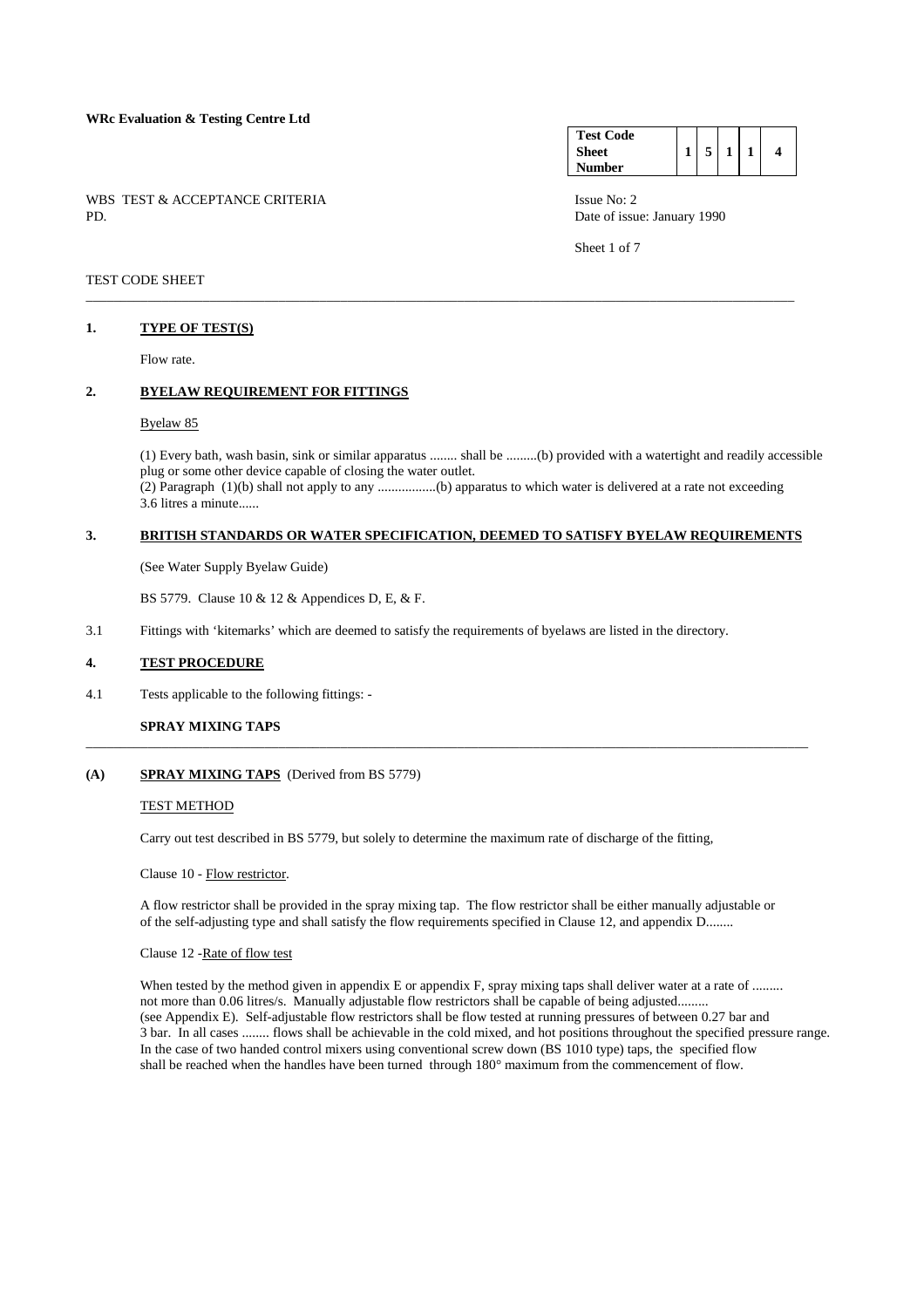#### **WRc Evaluation & Testing Centre Ltd**

WBS TEST & ACCEPTANCE CRITERIA ISSUE No: 2<br>PD Date of issue

#### **Test Code Sheet Number**   $1 \mid 5 \mid 1 \mid 1 \mid 4$

Date of issue: January 1990

Sheet 1 of 7

## TEST CODE SHEET

#### **1. TYPE OF TEST(S)**

Flow rate.

## **2. BYELAW REQUIREMENT FOR FITTINGS**

#### Byelaw 85

 (1) Every bath, wash basin, sink or similar apparatus ........ shall be .........(b) provided with a watertight and readily accessible plug or some other device capable of closing the water outlet. (2) Paragraph (1)(b) shall not apply to any .................(b) apparatus to which water is delivered at a rate not exceeding 3.6 litres a minute......

#### **3. BRITISH STANDARDS OR WATER SPECIFICATION, DEEMED TO SATISFY BYELAW REQUIREMENTS**

\_\_\_\_\_\_\_\_\_\_\_\_\_\_\_\_\_\_\_\_\_\_\_\_\_\_\_\_\_\_\_\_\_\_\_\_\_\_\_\_\_\_\_\_\_\_\_\_\_\_\_\_\_\_\_\_\_\_\_\_\_\_\_\_\_\_\_\_\_\_\_\_\_\_\_\_\_\_\_\_\_\_\_\_\_\_\_\_\_\_\_\_\_\_\_\_\_\_\_\_\_\_\_

(See Water Supply Byelaw Guide)

BS 5779. Clause 10 & 12 & Appendices D, E, & F.

3.1 Fittings with 'kitemarks' which are deemed to satisfy the requirements of byelaws are listed in the directory.

#### **4. TEST PROCEDURE**

4.1 Tests applicable to the following fittings: -

### **SPRAY MIXING TAPS**

#### **(A) SPRAY MIXING TAPS** (Derived from BS 5779)

#### TEST METHOD

Carry out test described in BS 5779, but solely to determine the maximum rate of discharge of the fitting,

\_\_\_\_\_\_\_\_\_\_\_\_\_\_\_\_\_\_\_\_\_\_\_\_\_\_\_\_\_\_\_\_\_\_\_\_\_\_\_\_\_\_\_\_\_\_\_\_\_\_\_\_\_\_\_\_\_\_\_\_\_\_\_\_\_\_\_\_\_\_\_\_\_\_\_\_\_\_\_\_\_\_\_\_\_\_\_\_\_\_\_\_\_\_\_\_\_\_\_\_\_\_\_\_\_

#### Clause 10 - Flow restrictor.

 A flow restrictor shall be provided in the spray mixing tap. The flow restrictor shall be either manually adjustable or of the self-adjusting type and shall satisfy the flow requirements specified in Clause 12, and appendix D........

#### Clause 12 -Rate of flow test

When tested by the method given in appendix E or appendix F, spray mixing taps shall deliver water at a rate of ......... not more than 0.06 litres/s. Manually adjustable flow restrictors shall be capable of being adjusted......... (see Appendix E). Self-adjustable flow restrictors shall be flow tested at running pressures of between 0.27 bar and 3 bar. In all cases ........ flows shall be achievable in the cold mixed, and hot positions throughout the specified pressure range. In the case of two handed control mixers using conventional screw down (BS 1010 type) taps, the specified flow shall be reached when the handles have been turned through 180° maximum from the commencement of flow.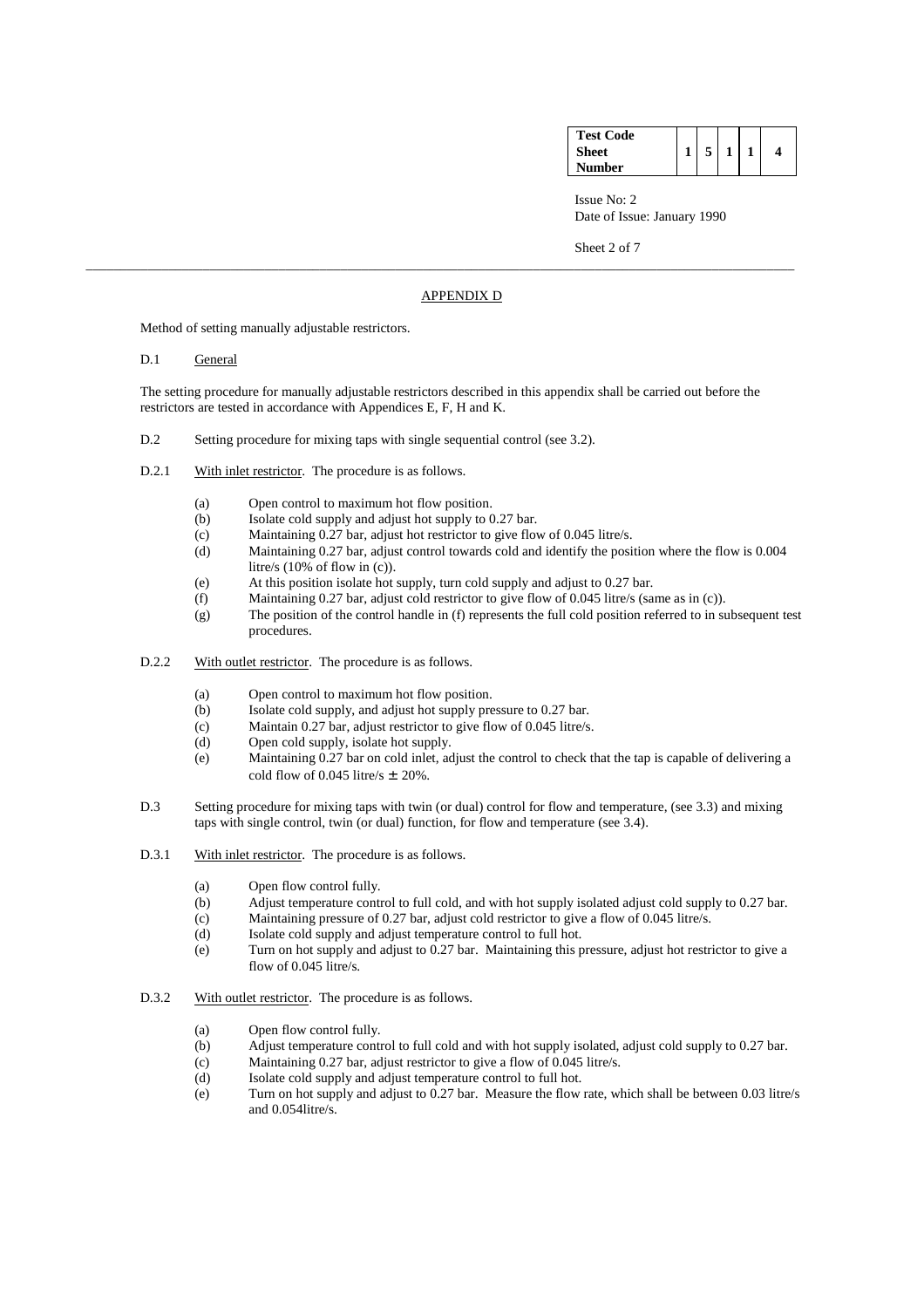| <b>Test Code</b> |  |  |  |
|------------------|--|--|--|
| Sheet            |  |  |  |
| Number           |  |  |  |

Sheet 2 of 7

#### APPENDIX D

\_\_\_\_\_\_\_\_\_\_\_\_\_\_\_\_\_\_\_\_\_\_\_\_\_\_\_\_\_\_\_\_\_\_\_\_\_\_\_\_\_\_\_\_\_\_\_\_\_\_\_\_\_\_\_\_\_\_\_\_\_\_\_\_\_\_\_\_\_\_\_\_\_\_\_\_\_\_\_\_\_\_\_\_\_\_\_\_\_\_\_\_\_\_\_\_\_\_\_\_\_\_\_

Method of setting manually adjustable restrictors.

D.1 General

 The setting procedure for manually adjustable restrictors described in this appendix shall be carried out before the restrictors are tested in accordance with Appendices E, F, H and K.

- D.2 Setting procedure for mixing taps with single sequential control (see 3.2).
- D.2.1 With inlet restrictor. The procedure is as follows.
	- (a) Open control to maximum hot flow position.
	- (b) Isolate cold supply and adjust hot supply to 0.27 bar.
	- (c) Maintaining 0.27 bar, adjust hot restrictor to give flow of 0.045 litre/s.
	- (d) Maintaining 0.27 bar, adjust control towards cold and identify the position where the flow is 0.004 litre/s (10% of flow in (c)).
	- (e) At this position isolate hot supply, turn cold supply and adjust to 0.27 bar.
	- (f) Maintaining 0.27 bar, adjust cold restrictor to give flow of 0.045 litre/s (same as in (c)).
	- (g) The position of the control handle in (f) represents the full cold position referred to in subsequent test procedures.
- D.2.2 With outlet restrictor. The procedure is as follows.
	- (a) Open control to maximum hot flow position.
	- (b) Isolate cold supply, and adjust hot supply pressure to 0.27 bar.
	- (c) Maintain 0.27 bar, adjust restrictor to give flow of 0.045 litre/s.
	- (d) Open cold supply, isolate hot supply.
	- (e) Maintaining 0.27 bar on cold inlet, adjust the control to check that the tap is capable of delivering a cold flow of 0.045 litre/s  $\pm$  20%.
- D.3 Setting procedure for mixing taps with twin (or dual) control for flow and temperature, (see 3.3) and mixing taps with single control, twin (or dual) function, for flow and temperature (see 3.4).
- D.3.1 With inlet restrictor. The procedure is as follows.
	- (a) Open flow control fully.
	- (b) Adjust temperature control to full cold, and with hot supply isolated adjust cold supply to 0.27 bar.
	- (c) Maintaining pressure of 0.27 bar, adjust cold restrictor to give a flow of 0.045 litre/s.<br>
	(d) Isolate cold supply and adjust temperature control to full hot.
	- Isolate cold supply and adjust temperature control to full hot.
	- (e) Turn on hot supply and adjust to 0.27 bar. Maintaining this pressure, adjust hot restrictor to give a flow of 0.045 litre/s.
- D.3.2 With outlet restrictor. The procedure is as follows.
	- (a) Open flow control fully.
	- (b) Adjust temperature control to full cold and with hot supply isolated, adjust cold supply to 0.27 bar.
	- (c) Maintaining 0.27 bar, adjust restrictor to give a flow of 0.045 litre/s.
	- (d) Isolate cold supply and adjust temperature control to full hot.
	- (e) Turn on hot supply and adjust to 0.27 bar. Measure the flow rate, which shall be between 0.03 litre/s and 0.054litre/s.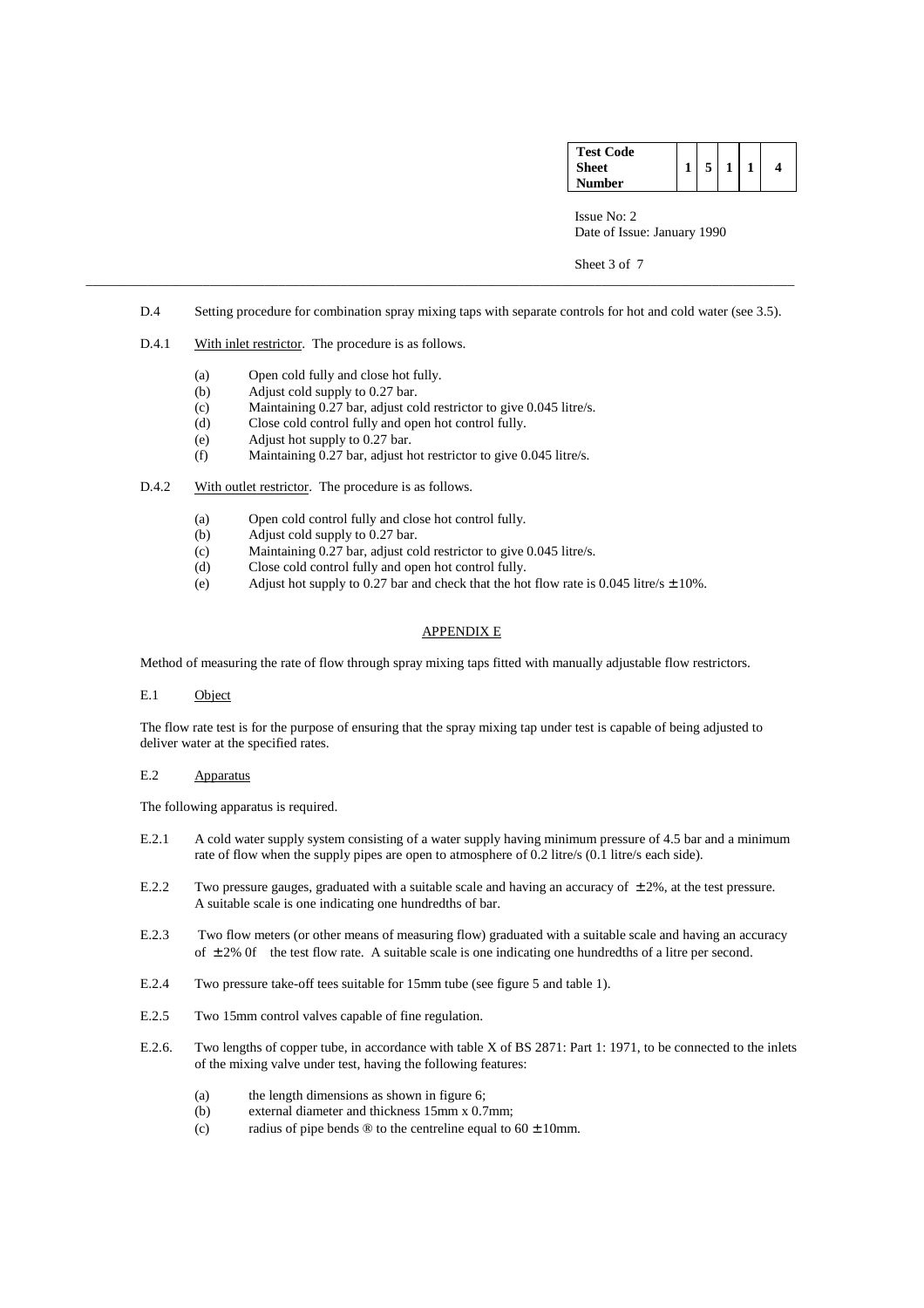| <b>Test Code</b> |  |  |   |
|------------------|--|--|---|
| Sheet            |  |  | 4 |
| Number           |  |  |   |

Sheet 3 of 7

D.4 Setting procedure for combination spray mixing taps with separate controls for hot and cold water (see 3.5).

\_\_\_\_\_\_\_\_\_\_\_\_\_\_\_\_\_\_\_\_\_\_\_\_\_\_\_\_\_\_\_\_\_\_\_\_\_\_\_\_\_\_\_\_\_\_\_\_\_\_\_\_\_\_\_\_\_\_\_\_\_\_\_\_\_\_\_\_\_\_\_\_\_\_\_\_\_\_\_\_\_\_\_\_\_\_\_\_\_\_\_\_\_\_\_\_\_\_\_\_\_\_\_

- D.4.1 With inlet restrictor. The procedure is as follows.
	- (a) Open cold fully and close hot fully.
	- (b) Adjust cold supply to 0.27 bar.
	- (c) Maintaining 0.27 bar, adjust cold restrictor to give 0.045 litre/s.
	- (d) Close cold control fully and open hot control fully.
	- (e) Adjust hot supply to 0.27 bar.
	- (f) Maintaining 0.27 bar, adjust hot restrictor to give 0.045 litre/s.
- D.4.2 With outlet restrictor. The procedure is as follows.
	- (a) Open cold control fully and close hot control fully.
	- (b) Adjust cold supply to 0.27 bar.
	- (c) Maintaining 0.27 bar, adjust cold restrictor to give 0.045 litre/s.
	- (d) Close cold control fully and open hot control fully.
	- (e) Adjust hot supply to 0.27 bar and check that the hot flow rate is 0.045 litre/s  $\pm$  10%.

#### APPENDIX E

Method of measuring the rate of flow through spray mixing taps fitted with manually adjustable flow restrictors.

E.1 Object

 The flow rate test is for the purpose of ensuring that the spray mixing tap under test is capable of being adjusted to deliver water at the specified rates.

## E.2 Apparatus

The following apparatus is required.

- E.2.1 A cold water supply system consisting of a water supply having minimum pressure of 4.5 bar and a minimum rate of flow when the supply pipes are open to atmosphere of 0.2 litre/s (0.1 litre/s each side).
- E.2.2 Two pressure gauges, graduated with a suitable scale and having an accuracy of  $\pm 2\%$ , at the test pressure. A suitable scale is one indicating one hundredths of bar.
- E.2.3 Two flow meters (or other means of measuring flow) graduated with a suitable scale and having an accuracy of  $\pm 2\%$  0f the test flow rate. A suitable scale is one indicating one hundredths of a litre per second.
- E.2.4 Two pressure take-off tees suitable for 15mm tube (see figure 5 and table 1).
- E.2.5 Two 15mm control valves capable of fine regulation.
- E.2.6. Two lengths of copper tube, in accordance with table X of BS 2871: Part 1: 1971, to be connected to the inlets of the mixing valve under test, having the following features:
	- (a) the length dimensions as shown in figure 6;
	- (b) external diameter and thickness 15mm x 0.7mm;
	- (c) radius of pipe bends  $\circledR$  to the centreline equal to  $60 \pm 10$ mm.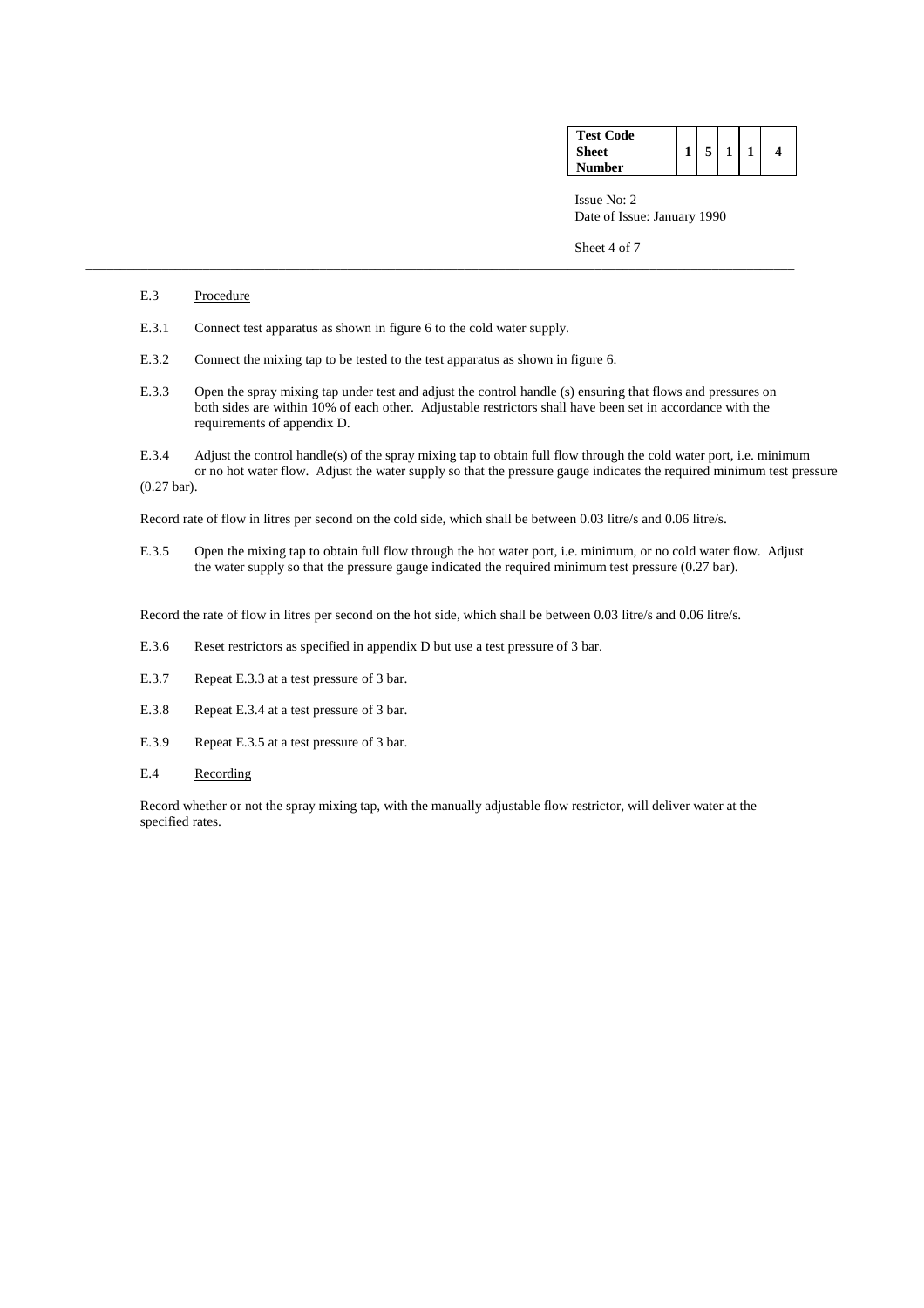| <b>Test Code</b> |  |  |  |
|------------------|--|--|--|
| <b>Sheet</b>     |  |  |  |
| Number           |  |  |  |

Sheet 4 of 7

#### E.3 Procedure

- E.3.1 Connect test apparatus as shown in figure 6 to the cold water supply.
- E.3.2 Connect the mixing tap to be tested to the test apparatus as shown in figure 6.
- E.3.3 Open the spray mixing tap under test and adjust the control handle (s) ensuring that flows and pressures on both sides are within 10% of each other. Adjustable restrictors shall have been set in accordance with the requirements of appendix D.

\_\_\_\_\_\_\_\_\_\_\_\_\_\_\_\_\_\_\_\_\_\_\_\_\_\_\_\_\_\_\_\_\_\_\_\_\_\_\_\_\_\_\_\_\_\_\_\_\_\_\_\_\_\_\_\_\_\_\_\_\_\_\_\_\_\_\_\_\_\_\_\_\_\_\_\_\_\_\_\_\_\_\_\_\_\_\_\_\_\_\_\_\_\_\_\_\_\_\_\_\_\_\_

 E.3.4 Adjust the control handle(s) of the spray mixing tap to obtain full flow through the cold water port, i.e. minimum or no hot water flow. Adjust the water supply so that the pressure gauge indicates the required minimum test pressure

(0.27 bar).

Record rate of flow in litres per second on the cold side, which shall be between 0.03 litre/s and 0.06 litre/s.

 E.3.5 Open the mixing tap to obtain full flow through the hot water port, i.e. minimum, or no cold water flow. Adjust the water supply so that the pressure gauge indicated the required minimum test pressure (0.27 bar).

Record the rate of flow in litres per second on the hot side, which shall be between 0.03 litre/s and 0.06 litre/s.

- E.3.6 Reset restrictors as specified in appendix D but use a test pressure of 3 bar.
- E.3.7 Repeat E.3.3 at a test pressure of 3 bar.
- E.3.8 Repeat E.3.4 at a test pressure of 3 bar.
- E.3.9 Repeat E.3.5 at a test pressure of 3 bar.
- E.4 Recording

 Record whether or not the spray mixing tap, with the manually adjustable flow restrictor, will deliver water at the specified rates.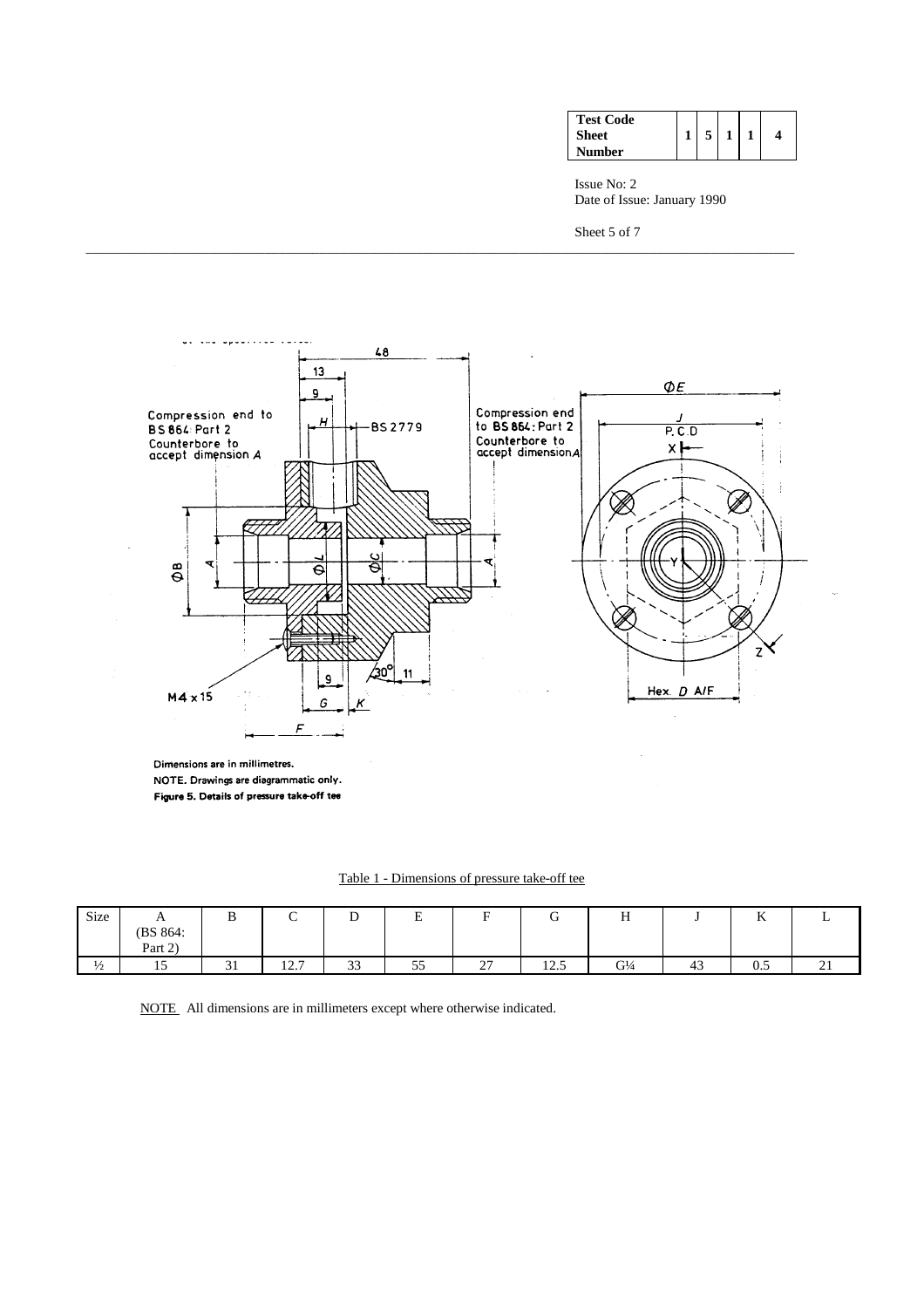| <b>Test Code</b><br><b>Sheet</b><br>Number |  |  |  |  | 4 |
|--------------------------------------------|--|--|--|--|---|
|--------------------------------------------|--|--|--|--|---|

Issue No: 2 Date of Issue: January 1990

Sheet 5 of 7



\_\_\_\_\_\_\_\_\_\_\_\_\_\_\_\_\_\_\_\_\_\_\_\_\_\_\_\_\_\_\_\_\_\_\_\_\_\_\_\_\_\_\_\_\_\_\_\_\_\_\_\_\_\_\_\_\_\_\_\_\_\_\_\_\_\_\_\_\_\_\_\_\_\_\_\_\_\_\_\_\_\_\_\_\_\_\_\_\_\_\_\_\_\_\_\_\_\_\_\_\_\_\_

Dimensions are in millimetres. NOTE. Drawings are diagrammatic only. Figure 5. Details of pressure take-off tee

| Table 1 - Dimensions of pressure take-off tee |  |  |  |
|-----------------------------------------------|--|--|--|
|                                               |  |  |  |

| Size          | $\mathbf{r}$<br>(BS 864: | ָט                  | ◡                    | ◡            | $\blacksquare$<br>⊷ | ∽                                  | ∽<br>ີ                     | v.<br>Н                       |    | $\mathbf{v}$<br>v       | ∸                                  |
|---------------|--------------------------|---------------------|----------------------|--------------|---------------------|------------------------------------|----------------------------|-------------------------------|----|-------------------------|------------------------------------|
|               | Part 2)                  |                     |                      |              |                     |                                    |                            |                               |    |                         |                                    |
| $\frac{1}{2}$ | -<br>$\overline{ }$      | $\sim$<br>JІ<br>- - | 127<br>$1 \angle .1$ | $\sim$<br>33 | $ -$<br>55          | $\sim$<br>$\overline{\phantom{0}}$ | $1 \cap F$<br>$1 \angle 0$ | G <sup>1</sup> / <sub>4</sub> | 43 | $\mathsf{u}.\mathsf{v}$ | $\sim$<br>$\overline{\phantom{a}}$ |

NOTE All dimensions are in millimeters except where otherwise indicated.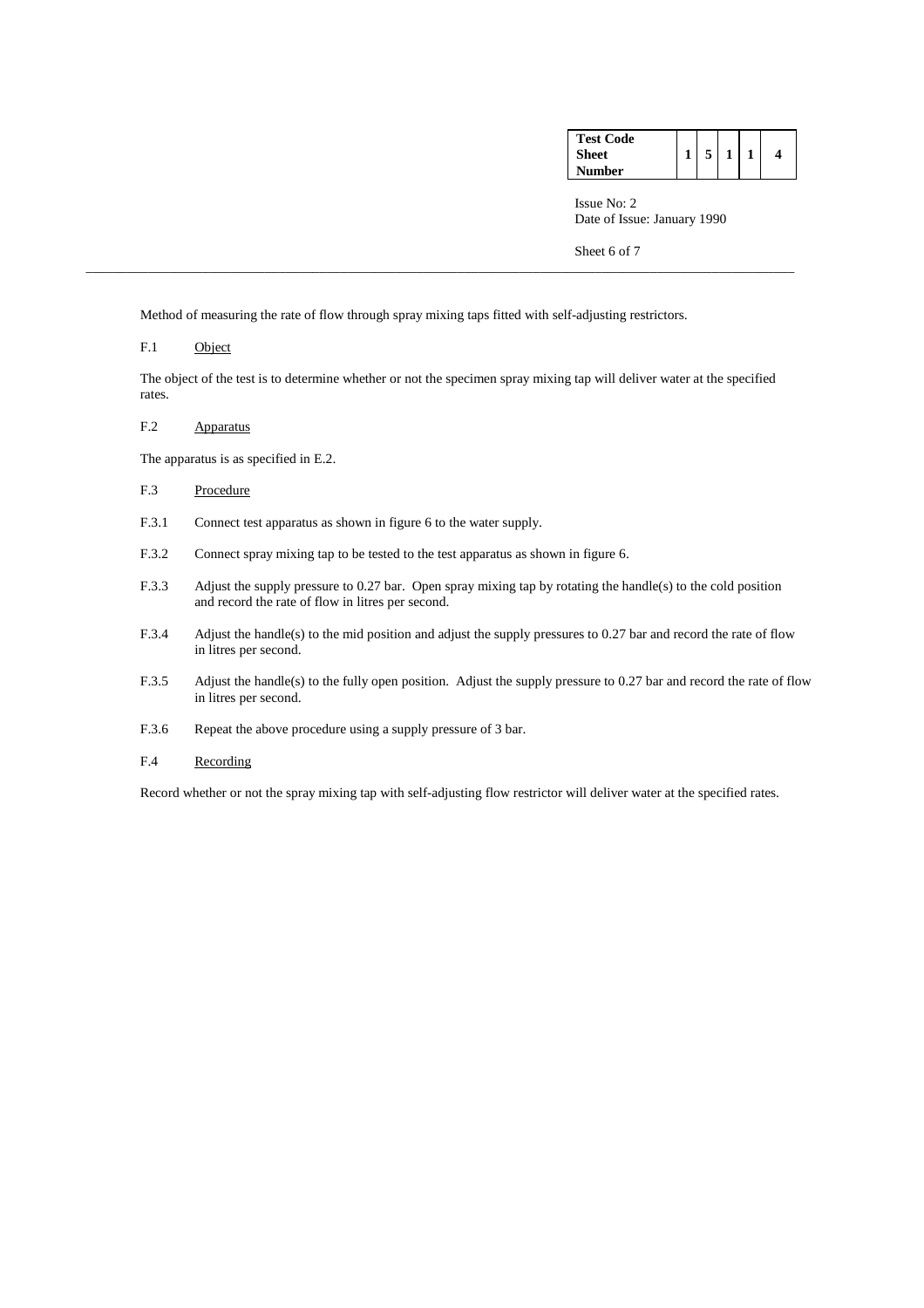| <b>Test Code</b> |  |  |  |
|------------------|--|--|--|
| <b>Sheet</b>     |  |  |  |
| <b>Number</b>    |  |  |  |

Sheet 6 of 7

Method of measuring the rate of flow through spray mixing taps fitted with self-adjusting restrictors.

\_\_\_\_\_\_\_\_\_\_\_\_\_\_\_\_\_\_\_\_\_\_\_\_\_\_\_\_\_\_\_\_\_\_\_\_\_\_\_\_\_\_\_\_\_\_\_\_\_\_\_\_\_\_\_\_\_\_\_\_\_\_\_\_\_\_\_\_\_\_\_\_\_\_\_\_\_\_\_\_\_\_\_\_\_\_\_\_\_\_\_\_\_\_\_\_\_\_\_\_\_\_\_

#### F.1 Object

 The object of the test is to determine whether or not the specimen spray mixing tap will deliver water at the specified rates.

#### F.2 Apparatus

The apparatus is as specified in E.2.

# F.3 Procedure

- F.3.1 Connect test apparatus as shown in figure 6 to the water supply.
- F.3.2 Connect spray mixing tap to be tested to the test apparatus as shown in figure 6.
- F.3.3 Adjust the supply pressure to 0.27 bar. Open spray mixing tap by rotating the handle(s) to the cold position and record the rate of flow in litres per second.
- F.3.4 Adjust the handle(s) to the mid position and adjust the supply pressures to 0.27 bar and record the rate of flow in litres per second.
- F.3.5 Adjust the handle(s) to the fully open position. Adjust the supply pressure to 0.27 bar and record the rate of flow in litres per second.
- F.3.6 Repeat the above procedure using a supply pressure of 3 bar.
- F.4 Recording

Record whether or not the spray mixing tap with self-adjusting flow restrictor will deliver water at the specified rates.